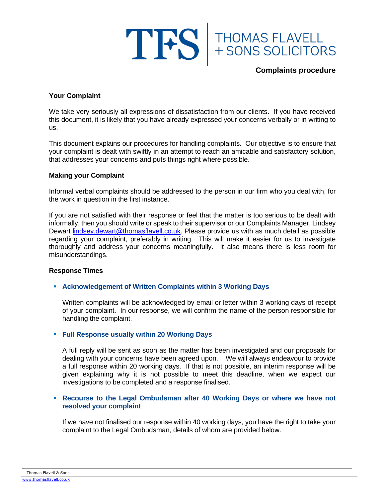

## **Complaints procedure**

## **Your Complaint**

We take very seriously all expressions of dissatisfaction from our clients. If you have received this document, it is likely that you have already expressed your concerns verbally or in writing to us.

This document explains our procedures for handling complaints. Our objective is to ensure that your complaint is dealt with swiftly in an attempt to reach an amicable and satisfactory solution, that addresses your concerns and puts things right where possible.

#### **Making your Complaint**

Informal verbal complaints should be addressed to the person in our firm who you deal with, for the work in question in the first instance.

If you are not satisfied with their response or feel that the matter is too serious to be dealt with informally, then you should write or speak to their supervisor or our Complaints Manager, Lindsey Dewart [lindsey.dewart@thomasflavell.co.uk.](mailto:lindsey.dewart@thomasflavell.co.uk) Please provide us with as much detail as possible regarding your complaint, preferably in writing. This will make it easier for us to investigate thoroughly and address your concerns meaningfully. It also means there is less room for misunderstandings.

#### **Response Times**

#### ▪ **Acknowledgement of Written Complaints within 3 Working Days**

Written complaints will be acknowledged by email or letter within 3 working days of receipt of your complaint. In our response, we will confirm the name of the person responsible for handling the complaint.

## ▪ **Full Response usually within 20 Working Days**

A full reply will be sent as soon as the matter has been investigated and our proposals for dealing with your concerns have been agreed upon. We will always endeavour to provide a full response within 20 working days. If that is not possible, an interim response will be given explaining why it is not possible to meet this deadline, when we expect our investigations to be completed and a response finalised.

## ▪ **Recourse to the Legal Ombudsman after 40 Working Days or where we have not resolved your complaint**

If we have not finalised our response within 40 working days, you have the right to take your complaint to the Legal Ombudsman, details of whom are provided below.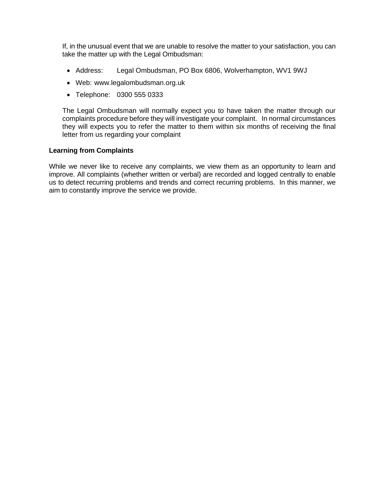If, in the unusual event that we are unable to resolve the matter to your satisfaction, you can take the matter up with the Legal Ombudsman:

- Address: Legal Ombudsman, PO Box 6806, Wolverhampton, WV1 9WJ
- Web: www.legalombudsman.org.uk
- Telephone: 0300 555 0333

The Legal Ombudsman will normally expect you to have taken the matter through our complaints procedure before they will investigate your complaint. In normal circumstances they will expects you to refer the matter to them within six months of receiving the final letter from us regarding your complaint

## **Learning from Complaints**

While we never like to receive any complaints, we view them as an opportunity to learn and improve. All complaints (whether written or verbal) are recorded and logged centrally to enable us to detect recurring problems and trends and correct recurring problems. In this manner, we aim to constantly improve the service we provide.